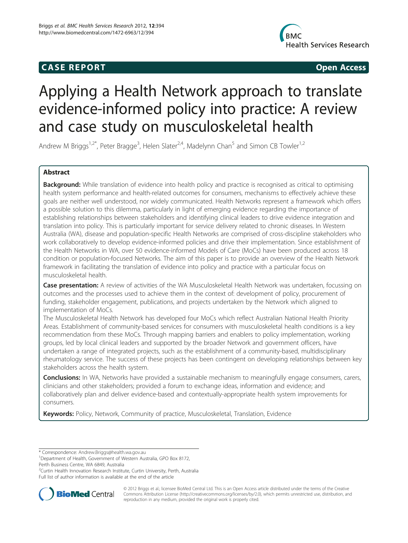## **CASE REPORT CASE REPORT**



# Applying a Health Network approach to translate evidence-informed policy into practice: A review and case study on musculoskeletal health

Andrew M Briggs<sup>1,2\*</sup>, Peter Bragge<sup>3</sup>, Helen Slater<sup>2,4</sup>, Madelynn Chan<sup>5</sup> and Simon CB Towler<sup>1,2</sup>

## Abstract

Background: While translation of evidence into health policy and practice is recognised as critical to optimising health system performance and health-related outcomes for consumers, mechanisms to effectively achieve these goals are neither well understood, nor widely communicated. Health Networks represent a framework which offers a possible solution to this dilemma, particularly in light of emerging evidence regarding the importance of establishing relationships between stakeholders and identifying clinical leaders to drive evidence integration and translation into policy. This is particularly important for service delivery related to chronic diseases. In Western Australia (WA), disease and population-specific Health Networks are comprised of cross-discipline stakeholders who work collaboratively to develop evidence-informed policies and drive their implementation. Since establishment of the Health Networks in WA, over 50 evidence-informed Models of Care (MoCs) have been produced across 18 condition or population-focused Networks. The aim of this paper is to provide an overview of the Health Network framework in facilitating the translation of evidence into policy and practice with a particular focus on musculoskeletal health.

Case presentation: A review of activities of the WA Musculoskeletal Health Network was undertaken, focussing on outcomes and the processes used to achieve them in the context of: development of policy, procurement of funding, stakeholder engagement, publications, and projects undertaken by the Network which aligned to implementation of MoCs.

The Musculoskeletal Health Network has developed four MoCs which reflect Australian National Health Priority Areas. Establishment of community-based services for consumers with musculoskeletal health conditions is a key recommendation from these MoCs. Through mapping barriers and enablers to policy implementation, working groups, led by local clinical leaders and supported by the broader Network and government officers, have undertaken a range of integrated projects, such as the establishment of a community-based, multidisciplinary rheumatology service. The success of these projects has been contingent on developing relationships between key stakeholders across the health system.

**Conclusions:** In WA, Networks have provided a sustainable mechanism to meaningfully engage consumers, carers, clinicians and other stakeholders; provided a forum to exchange ideas, information and evidence; and collaboratively plan and deliver evidence-based and contextually-appropriate health system improvements for consumers.

Keywords: Policy, Network, Community of practice, Musculoskeletal, Translation, Evidence

\* Correspondence: [Andrew.Briggs@health.wa.gov.au](mailto:Andrew.Briggs@health.wa.gov.au) <sup>1</sup>

<sup>1</sup>Department of Health, Government of Western Australia, GPO Box 8172, Perth Business Centre, WA 6849, Australia

<sup>2</sup>Curtin Health Innovation Research Institute, Curtin University, Perth, Australia Full list of author information is available at the end of the article



© 2012 Briggs et al.; licensee BioMed Central Ltd. This is an Open Access article distributed under the terms of the Creative Commons Attribution License [\(http://creativecommons.org/licenses/by/2.0\)](http://creativecommons.org/licenses/by/2.0), which permits unrestricted use, distribution, and reproduction in any medium, provided the original work is properly cited.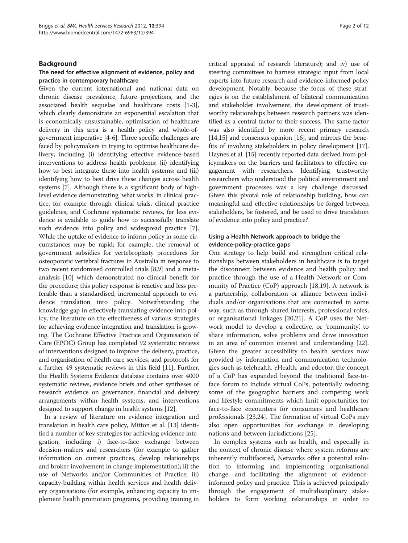#### Background

### The need for effective alignment of evidence, policy and practice in contemporary healthcare

Given the current international and national data on chronic disease prevalence, future projections, and the associated health sequelae and healthcare costs [\[1](#page-10-0)-[3](#page-10-0)], which clearly demonstrate an exponential escalation that is economically unsustainable, optimisation of healthcare delivery in this area is a health policy and whole-ofgovernment imperative [\[4](#page-10-0)-[6](#page-10-0)]. Three specific challenges are faced by policymakers in trying to optimise healthcare delivery, including (i) identifying effective evidence-based interventions to address health problems; (ii) identifying how to best integrate these into health systems; and (iii) identifying how to best drive these changes across health systems [\[7](#page-10-0)]. Although there is a significant body of highlevel evidence demonstrating 'what works' in clinical practice, for example through clinical trials, clinical practice guidelines, and Cochrane systematic reviews, far less evidence is available to guide how to successfully translate such evidence into policy and widespread practice [[7](#page-10-0)]. While the uptake of evidence to inform policy in some circumstances may be rapid; for example, the removal of government subsidies for vertebroplasty procedures for osteoporotic vertebral fractures in Australia in response to two recent randomised controlled trials [\[8,9](#page-10-0)] and a metaanalysis [[10](#page-10-0)] which demonstrated no clinical benefit for the procedure; this policy response is reactive and less preferable than a standardised, incremental approach to evidence translation into policy. Notwithstanding the knowledge gap in effectively translating evidence into policy, the literature on the effectiveness of various strategies for achieving evidence integration and translation is growing. The Cochrane Effective Practice and Organisation of Care (EPOC) Group has completed 92 systematic reviews of interventions designed to improve the delivery, practice, and organisation of health care services, and protocols for a further 49 systematic reviews in this field [[11](#page-10-0)]. Further, the Health Systems Evidence database contains over 4000 systematic reviews, evidence briefs and other syntheses of research evidence on governance, financial and delivery arrangements within health systems, and interventions designed to support change in health systems [\[12\]](#page-10-0).

In a review of literature on evidence integration and translation in health care policy, Mitton et al. [\[13\]](#page-10-0) identified a number of key strategies for achieving evidence integration, including i) face-to-face exchange between decision-makers and researchers (for example to gather information on current practices, develop relationships and broker involvement in change implementation); ii) the use of Networks and/or Communities of Practice; iii) capacity-building within health services and health delivery organisations (for example, enhancing capacity to implement health promotion programs, providing training in critical appraisal of research literature); and iv) use of steering committees to harness strategic input from local experts into future research and evidence-informed policy development. Notably, because the focus of these strategies is on the establishment of bilateral communication and stakeholder involvement, the development of trustworthy relationships between research partners was identified as a central factor to their success. The same factor was also identified by more recent primary research [[14,15](#page-10-0)] and consensus opinion [[16](#page-10-0)], and mirrors the benefits of involving stakeholders in policy development [[17](#page-10-0)]. Haynes et al. [[15](#page-10-0)] recently reported data derived from policymakers on the barriers and facilitators to effective engagement with researchers. Identifying trustworthy researchers who understood the political environment and government processes was a key challenge discussed. Given this pivotal role of relationship building, how can meaningful and effective relationships be forged between stakeholders, be fostered, and be used to drive translation of evidence into policy and practice?

#### Using a Health Network approach to bridge the evidence-policy-practice gaps

One strategy to help build and strengthen critical relationships between stakeholders in healthcare is to target the disconnect between evidence and health policy and practice through the use of a Health Network or Community of Practice (CoP) approach [[18,19\]](#page-10-0). A network is a partnership, collaboration or alliance between individuals and/or organisations that are connected in some way, such as through shared interests, professional roles, or organisational linkages [[20,21\]](#page-10-0). A CoP uses the Network model to develop a collective, or 'community', to share information, solve problems and drive innovation in an area of common interest and understanding [\[22](#page-10-0)]. Given the greater accessibility to health services now provided by information and communication technologies such as telehealth, eHealth, and edoctor, the concept of a CoP has expanded beyond the traditional face-toface forum to include virtual CoPs, potentially reducing some of the geographic barriers and competing work and lifestyle commitments which limit opportunities for face-to-face encounters for consumers and healthcare professionals [[23](#page-10-0),[24](#page-10-0)]. The formation of virtual CoPs may also open opportunities for exchange in developing nations and between jurisdictions [\[25](#page-10-0)].

In complex systems such as health, and especially in the context of chronic disease where system reforms are inherently multifaceted, Networks offer a potential solution to informing and implementing organisational change, and facilitating the alignment of evidenceinformed policy and practice. This is achieved principally through the engagement of multidisciplinary stakeholders to form working relationships in order to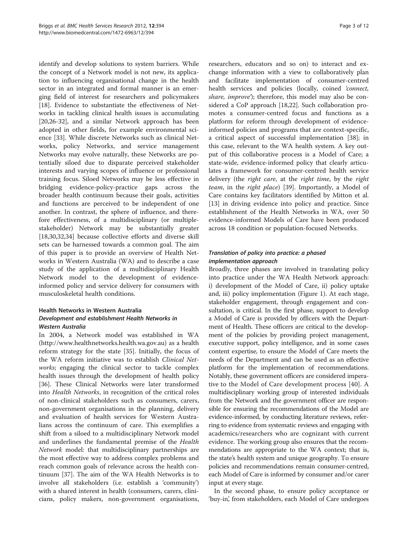identify and develop solutions to system barriers. While the concept of a Network model is not new, its application to influencing organisational change in the health sector in an integrated and formal manner is an emerging field of interest for researchers and policymakers [[18\]](#page-10-0). Evidence to substantiate the effectiveness of Networks in tackling clinical health issues is accumulating [[20,26-32\]](#page-10-0), and a similar Network approach has been adopted in other fields, for example environmental science [[33\]](#page-10-0). While discrete Networks such as clinical Networks, policy Networks, and service management Networks may evolve naturally, these Networks are potentially siloed due to disparate perceived stakeholder interests and varying scopes of influence or professional training focus. Siloed Networks may be less effective in bridging evidence-policy-practice gaps across the broader health continuum because their goals, activities and functions are perceived to be independent of one another. In contrast, the sphere of influence, and therefore effectiveness, of a multidisciplinary (or multiplestakeholder) Network may be substantially greater [[18,30,32,34\]](#page-10-0) because collective efforts and diverse skill sets can be harnessed towards a common goal. The aim of this paper is to provide an overview of Health Networks in Western Australia (WA) and to describe a case study of the application of a multidisciplinary Health Network model to the development of evidenceinformed policy and service delivery for consumers with musculoskeletal health conditions.

## Health Networks in Western Australia Development and establishment Health Networks in Western Australia

In 2004, a Network model was established in WA (<http://www.healthnetworks.health.wa.gov.au>) as a health reform strategy for the state [[35](#page-10-0)]. Initially, the focus of the WA reform initiative was to establish Clinical Networks; engaging the clinical sector to tackle complex health issues through the development of health policy [[36\]](#page-10-0). These Clinical Networks were later transformed into Health Networks, in recognition of the critical roles of non-clinical stakeholders such as consumers, carers, non-government organisations in the planning, delivery and evaluation of health services for Western Australians across the continuum of care. This exemplifies a shift from a siloed to a multidisciplinary Network model and underlines the fundamental premise of the Health Network model: that multidisciplinary partnerships are the most effective way to address complex problems and reach common goals of relevance across the health continuum [\[37](#page-10-0)]. The aim of the WA Health Networks is to involve all stakeholders (i.e. establish a 'community') with a shared interest in health (consumers, carers, clinicians, policy makers, non-government organisations,

researchers, educators and so on) to interact and exchange information with a view to collaboratively plan and facilitate implementation of consumer-centred health services and policies (locally, coined 'connect, share, improve'); therefore, this model may also be considered a CoP approach [\[18,22\]](#page-10-0). Such collaboration promotes a consumer-centred focus and functions as a platform for reform through development of evidenceinformed policies and programs that are context-specific, a critical aspect of successful implementation [\[38](#page-10-0)]; in this case, relevant to the WA health system. A key output of this collaborative process is a Model of Care; a state-wide, evidence-informed policy that clearly articulates a framework for consumer-centred health service delivery (the *right care*, at the *right time*, by the *right* team, in the right place) [[39](#page-10-0)]. Importantly, a Model of Care contains key facilitators identified by Mitton et al. [[13\]](#page-10-0) in driving evidence into policy and practice. Since establishment of the Health Networks in WA, over 50 evidence-informed Models of Care have been produced across 18 condition or population-focused Networks.

## Translation of policy into practice: a phased implementation approach

Broadly, three phases are involved in translating policy into practice under the WA Health Network approach: i) development of the Model of Care, ii) policy uptake and, iii) policy implementation (Figure [1](#page-3-0)). At each stage, stakeholder engagement, through engagement and consultation, is critical. In the first phase, support to develop a Model of Care is provided by officers with the Department of Health. These officers are critical to the development of the policies by providing project management, executive support, policy intelligence, and in some cases content expertise, to ensure the Model of Care meets the needs of the Department and can be used as an effective platform for the implementation of recommendations. Notably, these government officers are considered imperative to the Model of Care development process [[40\]](#page-11-0). A multidisciplinary working group of interested individuals from the Network and the government officer are responsible for ensuring the recommendations of the Model are evidence-informed, by conducting literature reviews, referring to evidence from systematic reviews and engaging with academics/researchers who are cognizant with current evidence. The working group also ensures that the recommendations are appropriate to the WA context; that is, the state's health system and unique geography. To ensure policies and recommendations remain consumer-centred, each Model of Care is informed by consumer and/or carer input at every stage.

In the second phase, to ensure policy acceptance or 'buy-in', from stakeholders, each Model of Care undergoes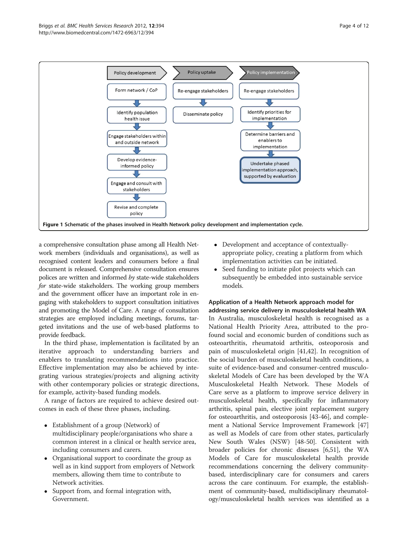<span id="page-3-0"></span>

a comprehensive consultation phase among all Health Network members (individuals and organisations), as well as recognised content leaders and consumers before a final document is released. Comprehensive consultation ensures polices are written and informed by state-wide stakeholders for state-wide stakeholders. The working group members and the government officer have an important role in engaging with stakeholders to support consultation initiatives and promoting the Model of Care. A range of consultation strategies are employed including meetings, forums, targeted invitations and the use of web-based platforms to provide feedback.

In the third phase, implementation is facilitated by an iterative approach to understanding barriers and enablers to translating recommendations into practice. Effective implementation may also be achieved by integrating various strategies/projects and aligning activity with other contemporary policies or strategic directions, for example, activity-based funding models.

A range of factors are required to achieve desired outcomes in each of these three phases, including.

- Establishment of a group (Network) of multidisciplinary people/organisations who share a common interest in a clinical or health service area, including consumers and carers.
- Organisational support to coordinate the group as well as in kind support from employers of Network members, allowing them time to contribute to Network activities.
- Support from, and formal integration with, Government.
- Development and acceptance of contextuallyappropriate policy, creating a platform from which implementation activities can be initiated.
- Seed funding to initiate pilot projects which can subsequently be embedded into sustainable service models.

## Application of a Health Network approach model for addressing service delivery in musculoskeletal health WA In Australia, musculoskeletal health is recognised as a National Health Priority Area, attributed to the profound social and economic burden of conditions such as osteoarthritis, rheumatoid arthritis, osteoporosis and pain of musculoskeletal origin [\[41,42\]](#page-11-0). In recognition of the social burden of musculoskeletal health conditions, a suite of evidence-based and consumer-centred musculoskeletal Models of Care has been developed by the WA Musculoskeletal Health Network. These Models of Care serve as a platform to improve service delivery in musculoskeletal health, specifically for inflammatory arthritis, spinal pain, elective joint replacement surgery for osteoarthritis, and osteoporosis [[43-46](#page-11-0)], and complement a National Service Improvement Framework [[47](#page-11-0)] as well as Models of care from other states, particularly New South Wales (NSW) [[48-50](#page-11-0)]. Consistent with broader policies for chronic diseases [[6,](#page-10-0)[51\]](#page-11-0), the WA Models of Care for musculoskeletal health provide recommendations concerning the delivery communitybased, interdisciplinary care for consumers and carers across the care continuum. For example, the establishment of community-based, multidisciplinary rheumatology/musculoskeletal health services was identified as a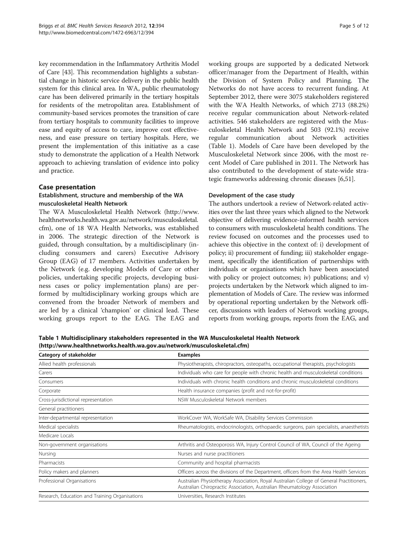key recommendation in the Inflammatory Arthritis Model of Care [[43](#page-11-0)]. This recommendation highlights a substantial change in historic service delivery in the public health system for this clinical area. In WA, public rheumatology care has been delivered primarily in the tertiary hospitals for residents of the metropolitan area. Establishment of community-based services promotes the transition of care from tertiary hospitals to community facilities to improve ease and equity of access to care, improve cost effectiveness, and ease pressure on tertiary hospitals. Here, we present the implementation of this initiative as a case study to demonstrate the application of a Health Network approach to achieving translation of evidence into policy and practice.

### Case presentation

## Establishment, structure and membership of the WA musculoskeletal Health Network

The WA Musculoskeletal Health Network ([http://www.](http://www.healthnetworks.health.wa.gov.au/network/musculoskeletal.cfm) [healthnetworks.health.wa.gov.au/network/musculoskeletal.](http://www.healthnetworks.health.wa.gov.au/network/musculoskeletal.cfm) [cfm\)](http://www.healthnetworks.health.wa.gov.au/network/musculoskeletal.cfm), one of 18 WA Health Networks, was established in 2006. The strategic direction of the Network is guided, through consultation, by a multidisciplinary (including consumers and carers) Executive Advisory Group (EAG) of 17 members. Activities undertaken by the Network (e.g. developing Models of Care or other policies, undertaking specific projects, developing business cases or policy implementation plans) are performed by multidisciplinary working groups which are convened from the broader Network of members and are led by a clinical 'champion' or clinical lead. These working groups report to the EAG. The EAG and working groups are supported by a dedicated Network officer/manager from the Department of Health, within the Division of System Policy and Planning. The Networks do not have access to recurrent funding. At September 2012, there were 3075 stakeholders registered with the WA Health Networks, of which 2713 (88.2%) receive regular communication about Network-related activities. 546 stakeholders are registered with the Musculoskeletal Health Network and 503 (92.1%) receive regular communication about Network activities (Table 1). Models of Care have been developed by the Musculoskeletal Network since 2006, with the most recent Model of Care published in 2011. The Network has also contributed to the development of state-wide strategic frameworks addressing chronic diseases [[6,](#page-10-0)[51\]](#page-11-0).

### Development of the case study

The authors undertook a review of Network-related activities over the last three years which aligned to the Network objective of delivering evidence-informed health services to consumers with musculoskeletal health conditions. The review focused on outcomes and the processes used to achieve this objective in the context of: i) development of policy; ii) procurement of funding; iii) stakeholder engagement, specifically the identification of partnerships with individuals or organisations which have been associated with policy or project outcomes; iv) publications; and v) projects undertaken by the Network which aligned to implementation of Models of Care. The review was informed by operational reporting undertaken by the Network officer, discussions with leaders of Network working groups, reports from working groups, reports from the EAG, and

Table 1 Multidisciplinary stakeholders represented in the WA Musculoskeletal Health Network (<http://www.healthnetworks.health.wa.gov.au/network/musculoskeletal.cfm>)

| Category of stakeholder                        | <b>Examples</b>                                                                                                                                                      |  |
|------------------------------------------------|----------------------------------------------------------------------------------------------------------------------------------------------------------------------|--|
| Allied health professionals                    | Physiotherapists, chiropractors, osteopaths, occupational therapists, psychologists                                                                                  |  |
| Carers                                         | Individuals who care for people with chronic health and musculoskeletal conditions                                                                                   |  |
| Consumers                                      | Individuals with chronic health conditions and chronic musculoskeletal conditions                                                                                    |  |
| Corporate                                      | Health insurance companies (profit and not-for-profit)                                                                                                               |  |
| Cross-jurisdictional representation            | NSW Musculoskeletal Network members                                                                                                                                  |  |
| General practitioners                          |                                                                                                                                                                      |  |
| Inter-departmental representation              | WorkCover WA, WorkSafe WA, Disability Services Commission                                                                                                            |  |
| Medical specialists                            | Rheumatologists, endocrinologists, orthopaedic surgeons, pain specialists, anaesthetists                                                                             |  |
| Medicare Locals                                |                                                                                                                                                                      |  |
| Non-government organisations                   | Arthritis and Osteoporosis WA, Injury Control Council of WA, Council of the Ageing                                                                                   |  |
| Nursing                                        | Nurses and nurse practitioners                                                                                                                                       |  |
| Pharmacists                                    | Community and hospital pharmacists                                                                                                                                   |  |
| Policy makers and planners                     | Officers across the divisions of the Department, officers from the Area Health Services                                                                              |  |
| Professional Organisations                     | Australian Physiotherapy Association, Royal Australian College of General Practitioners,<br>Australian Chiropractic Association, Australian Rheumatology Association |  |
| Research, Education and Training Organisations | Universities, Research Institutes                                                                                                                                    |  |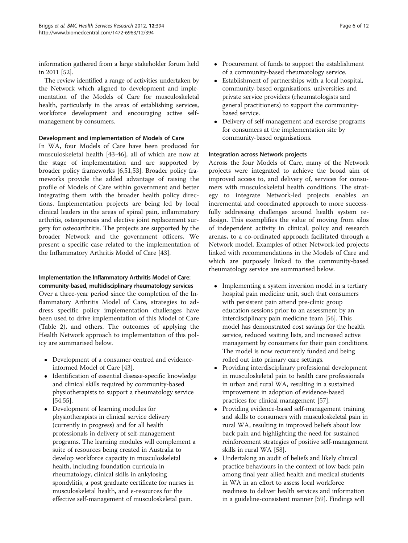information gathered from a large stakeholder forum held in 2011 [\[52\]](#page-11-0).

The review identified a range of activities undertaken by the Network which aligned to development and implementation of the Models of Care for musculoskeletal health, particularly in the areas of establishing services, workforce development and encouraging active selfmanagement by consumers.

#### Development and implementation of Models of Care

In WA, four Models of Care have been produced for musculoskeletal health [\[43-46](#page-11-0)], all of which are now at the stage of implementation and are supported by broader policy frameworks [[6](#page-10-0),[51,53](#page-11-0)]. Broader policy frameworks provide the added advantage of raising the profile of Models of Care within government and better integrating them with the broader health policy directions. Implementation projects are being led by local clinical leaders in the areas of spinal pain, inflammatory arthritis, osteoporosis and elective joint replacement surgery for osteoarthritis. The projects are supported by the broader Network and the government officers. We present a specific case related to the implementation of the Inflammatory Arthritis Model of Care [\[43](#page-11-0)].

## Implementation the Inflammatory Arthritis Model of Care: community-based, multidisciplinary rheumatology services

Over a three-year period since the completion of the Inflammatory Arthritis Model of Care, strategies to address specific policy implementation challenges have been used to drive implementation of this Model of Care (Table [2\)](#page-6-0), and others. The outcomes of applying the Health Network approach to implementation of this policy are summarised below.

- Development of a consumer-centred and evidenceinformed Model of Care [\[43\]](#page-11-0).
- Identification of essential disease-specific knowledge and clinical skills required by community-based physiotherapists to support a rheumatology service [[54](#page-11-0),[55](#page-11-0)].
- Development of learning modules for physiotherapists in clinical service delivery (currently in progress) and for all health professionals in delivery of self-management programs. The learning modules will complement a suite of resources being created in Australia to develop workforce capacity in musculoskeletal health, including foundation curricula in rheumatology, clinical skills in ankylosing spondylitis, a post graduate certificate for nurses in musculoskeletal health, and e-resources for the effective self-management of musculoskeletal pain.
- Procurement of funds to support the establishment of a community-based rheumatology service.
- Establishment of partnerships with a local hospital, community-based organisations, universities and private service providers (rheumatologists and general practitioners) to support the communitybased service.
- Delivery of self-management and exercise programs for consumers at the implementation site by community-based organisations.

#### Integration across Network projects

Across the four Models of Care, many of the Network projects were integrated to achieve the broad aim of improved access to, and delivery of, services for consumers with musculoskeletal health conditions. The strategy to integrate Network-led projects enables an incremental and coordinated approach to more successfully addressing challenges around health system redesign. This exemplifies the value of moving from silos of independent activity in clinical, policy and research arenas, to a co-ordinated approach facilitated through a Network model. Examples of other Network-led projects linked with recommendations in the Models of Care and which are purposely linked to the community-based rheumatology service are summarised below.

- Implementing a system inversion model in a tertiary hospital pain medicine unit, such that consumers with persistent pain attend pre-clinic group education sessions prior to an assessment by an interdisciplinary pain medicine team [[56](#page-11-0)]. This model has demonstrated cost savings for the health service, reduced waiting lists, and increased active management by consumers for their pain conditions. The model is now recurrently funded and being rolled out into primary care settings.
- Providing interdisciplinary professional development in musculoskeletal pain to health care professionals in urban and rural WA, resulting in a sustained improvement in adoption of evidence-based practices for clinical management [[57](#page-11-0)].
- Providing evidence-based self-management training and skills to consumers with musculoskeletal pain in rural WA, resulting in improved beliefs about low back pain and highlighting the need for sustained reinforcement strategies of positive self-management skills in rural WA [[58\]](#page-11-0).
- Undertaking an audit of beliefs and likely clinical practice behaviours in the context of low back pain among final year allied health and medical students in WA in an effort to assess local workforce readiness to deliver health services and information in a guideline-consistent manner [[59\]](#page-11-0). Findings will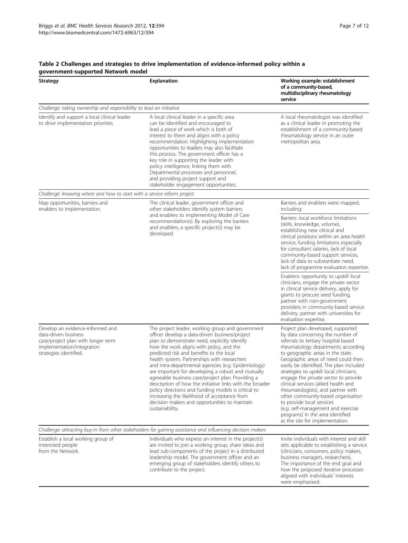| <b>Strategy</b>                                                                                                                                        | <b>Explanation</b>                                                                                                                                                                                                                                                                                                                                                                                                                                                                                                                                                                                                                                                                                   | Working example: establishment<br>of a community-based,<br>multidisciplinary rheumatology<br>service                                                                                                                                                                                                                                                                                                                                                                                                                                                                                                                        |  |
|--------------------------------------------------------------------------------------------------------------------------------------------------------|------------------------------------------------------------------------------------------------------------------------------------------------------------------------------------------------------------------------------------------------------------------------------------------------------------------------------------------------------------------------------------------------------------------------------------------------------------------------------------------------------------------------------------------------------------------------------------------------------------------------------------------------------------------------------------------------------|-----------------------------------------------------------------------------------------------------------------------------------------------------------------------------------------------------------------------------------------------------------------------------------------------------------------------------------------------------------------------------------------------------------------------------------------------------------------------------------------------------------------------------------------------------------------------------------------------------------------------------|--|
| Challenge: taking ownership and responsibility to lead an initiative                                                                                   |                                                                                                                                                                                                                                                                                                                                                                                                                                                                                                                                                                                                                                                                                                      |                                                                                                                                                                                                                                                                                                                                                                                                                                                                                                                                                                                                                             |  |
| Identify and support a local clinical leader<br>to drive implementation priorities.                                                                    | A local clinical leader in a specific area<br>can be identified and encouraged to<br>lead a piece of work which is both of<br>interest to them and aligns with a policy<br>recommendation. Highlighting implementation<br>opportunities to leaders may also facilitate<br>this process. The government officer has a<br>key role in supporting the leader with<br>policy intelligence, linking them with<br>Departmental processes and personnel,<br>and providing project support and<br>stakeholder engagement opportunities.                                                                                                                                                                      | A local rheumatologist was identified<br>as a clinical leader in promoting the<br>establishment of a community-based<br>rheumatology service in an outer<br>metropolitan area.                                                                                                                                                                                                                                                                                                                                                                                                                                              |  |
| Challenge: knowing where and how to start with a service reform project                                                                                |                                                                                                                                                                                                                                                                                                                                                                                                                                                                                                                                                                                                                                                                                                      |                                                                                                                                                                                                                                                                                                                                                                                                                                                                                                                                                                                                                             |  |
| Map opportunities, barriers and<br>enablers to implementation.                                                                                         | The clinical leader, government officer and<br>other stakeholders identify system barriers<br>and enablers to implementing Model of Care<br>recommendation(s). By exploring the barriers                                                                                                                                                                                                                                                                                                                                                                                                                                                                                                             | Barriers and enablers were mapped,<br>including:<br>Barriers: local workforce limitations                                                                                                                                                                                                                                                                                                                                                                                                                                                                                                                                   |  |
|                                                                                                                                                        | and enablers, a specific project(s) may be<br>developed.                                                                                                                                                                                                                                                                                                                                                                                                                                                                                                                                                                                                                                             | (skills, knowledge, volume),<br>establishing new clinical and<br>clerical positions within an area health<br>service, funding limitations especially<br>for consultant salaries, lack of local<br>community-based support services,<br>lack of data to substantiate need,<br>lack of programme evaluation expertise.                                                                                                                                                                                                                                                                                                        |  |
|                                                                                                                                                        |                                                                                                                                                                                                                                                                                                                                                                                                                                                                                                                                                                                                                                                                                                      | Enablers: opportunity to upskill local<br>clinicians, engage the private sector<br>in clinical service delivery, apply for<br>grants to procure seed funding,<br>partner with non-government<br>providers in community-based service<br>delivery, partner with universities for<br>evaluation expertise.                                                                                                                                                                                                                                                                                                                    |  |
| Develop an evidence-informed and<br>data-driven business<br>case/project plan with longer term<br>implementation/integration<br>strategies identified. | The project leader, working group and government<br>officer develop a data-driven business/project<br>plan to demonstrate need, explicitly identify<br>how the work aligns with policy, and the<br>predicted risk and benefits to the local<br>health system. Partnerships with researchers<br>and intra-departmental agencies (e.g. Epidemiology)<br>are important for developing a robust and mutually<br>agreeable business case/project plan. Providing a<br>description of how the initiative links with the broader<br>policy directions and funding models is critical to<br>increasing the likelihood of acceptance from<br>decision makers and opportunities to maintain<br>sustainability. | Project plan developed, supported<br>by data concerning the number of<br>referrals to tertiary hospital-based<br>rheumatology departments according<br>to geographic areas in the state.<br>Geographic areas of need could then<br>easily be identified. The plan included<br>strategies to upskill local clinicians,<br>engage the private sector to provide<br>clinical services (allied health and<br>rheumatologists), and partner with<br>other community-based organisation<br>to provide local services<br>(e.g. self-management and exercise<br>programs) in the area identified<br>as the site for implementation. |  |
|                                                                                                                                                        | Challenge: attracting buy-in from other stakeholders for gaining assistance and influencing decision makers                                                                                                                                                                                                                                                                                                                                                                                                                                                                                                                                                                                          |                                                                                                                                                                                                                                                                                                                                                                                                                                                                                                                                                                                                                             |  |
| Establish a local working group of<br>interested people<br>from the Network.                                                                           | Individuals who express an interest in the project(s)<br>are invited to join a working group, share ideas and<br>lead sub-components of the project in a distributed<br>leadership model. The government officer and an<br>emerging group of stakeholders identify others to<br>contribute to the project.                                                                                                                                                                                                                                                                                                                                                                                           | Invite individuals with interest and skill<br>sets applicable to establishing a service<br>(clinicians, consumers, policy makers,<br>business managers, researchers).<br>The importance of the end goal and<br>how the proposed iterative processes<br>aligned with individuals' interests<br>were emphasised.                                                                                                                                                                                                                                                                                                              |  |

#### <span id="page-6-0"></span>Table 2 Challenges and strategies to drive implementation of evidence-informed policy within a government-supported Network model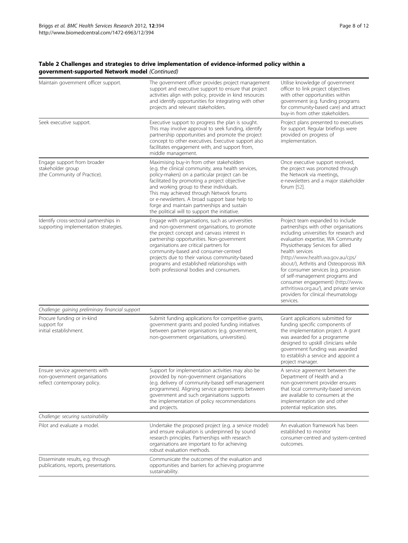## Table 2 Challenges and strategies to drive implementation of evidence-informed policy within a government-supported Network model (Continued)

| Maintain government officer support.                                                           | The government officer provides project management<br>support and executive support to ensure that project<br>activities align with policy, provide in kind resources<br>and identify opportunities for integrating with other<br>projects and relevant stakeholders.                                                                                                                                                                      | Utilise knowledge of government<br>officer to link project objectives<br>with other opportunities within<br>government (e.g. funding programs<br>for community-based care) and attract<br>buy-in from other stakeholders.                                                                                                                                                                                                                                                                                           |  |
|------------------------------------------------------------------------------------------------|--------------------------------------------------------------------------------------------------------------------------------------------------------------------------------------------------------------------------------------------------------------------------------------------------------------------------------------------------------------------------------------------------------------------------------------------|---------------------------------------------------------------------------------------------------------------------------------------------------------------------------------------------------------------------------------------------------------------------------------------------------------------------------------------------------------------------------------------------------------------------------------------------------------------------------------------------------------------------|--|
| Seek executive support.                                                                        | Executive support to progress the plan is sought.<br>This may involve approval to seek funding, identify<br>partnership opportunities and promote the project<br>concept to other executives. Executive support also<br>facilitates engagement with, and support from,<br>middle management.                                                                                                                                               | Project plans presented to executives<br>for support. Regular briefings were<br>provided on progress of<br>implementation.                                                                                                                                                                                                                                                                                                                                                                                          |  |
| Engage support from broader<br>stakeholder group<br>(the Community of Practice).               | Maximising buy-in from other stakeholders<br>(e.g. the clinical community, area health services,<br>policy-makers) on a particular project can be<br>facilitated by promoting a project objective<br>and working group to these individuals.<br>This may achieved through Network forums<br>or e-newsletters. A broad support base help to<br>forge and maintain partnerships and sustain<br>the political will to support the initiative. | Once executive support received,<br>the project was promoted through<br>the Network via meetings,<br>e-newsletters and a major stakeholder<br>forum [52].                                                                                                                                                                                                                                                                                                                                                           |  |
| Identify cross-sectoral partnerships in<br>supporting implementation strategies.               | Engage with organisations, such as universities<br>and non-government organisations, to promote<br>the project concept and canvass interest in<br>partnership opportunities. Non-government<br>organisations are critical partners for<br>community-based and consumer-centred<br>projects due to their various community-based<br>programs and established relationships with<br>both professional bodies and consumers.                  | Project team expanded to include<br>partnerships with other organisations<br>including universities for research and<br>evaluation expertise, WA Community<br>Physiotherapy Services for allied<br>health services<br>(http://www.health.wa.gov.au/cps/<br>about/), Arthritis and Osteoporosis WA<br>for consumer services (e.g. provision<br>of self-management programs and<br>consumer engagement) (http://www.<br>arthritiswa.org.au/), and private service<br>providers for clinical rheumatology<br>services. |  |
| Challenge: gaining preliminary financial support                                               |                                                                                                                                                                                                                                                                                                                                                                                                                                            |                                                                                                                                                                                                                                                                                                                                                                                                                                                                                                                     |  |
| Procure funding or in-kind<br>support for<br>initial establishment.                            | Submit funding applications for competitive grants,<br>government grants and pooled funding initiatives<br>between partner organisations (e.g. government,<br>non-government organisations, universities).                                                                                                                                                                                                                                 |                                                                                                                                                                                                                                                                                                                                                                                                                                                                                                                     |  |
| Ensure service agreements with<br>non-government organisations<br>reflect contemporary policy. | Support for implementation activities may also be<br>provided by non-government organisations<br>(e.g. delivery of community-based self-management<br>programmes). Aligning service agreements between<br>government and such organisations supports<br>the implementation of policy recommendations<br>and projects.                                                                                                                      | A service agreement between the<br>Department of Health and a<br>non-government provider ensures<br>that local community-based services<br>are available to consumers at the<br>implementation site and other<br>potential replication sites.                                                                                                                                                                                                                                                                       |  |
| Challenge: securing sustainability                                                             |                                                                                                                                                                                                                                                                                                                                                                                                                                            |                                                                                                                                                                                                                                                                                                                                                                                                                                                                                                                     |  |
| Pilot and evaluate a model.                                                                    | Undertake the proposed project (e.g. a service model)<br>and ensure evaluation is underpinned by sound<br>research principles. Partnerships with research<br>organisations are important to for achieving<br>robust evaluation methods.                                                                                                                                                                                                    | An evaluation framework has been<br>established to monitor<br>consumer-centred and system-centred<br>outcomes.                                                                                                                                                                                                                                                                                                                                                                                                      |  |
| Disseminate results, e.g. through<br>publications, reports, presentations.                     | Communicate the outcomes of the evaluation and<br>opportunities and barriers for achieving programme<br>sustainability.                                                                                                                                                                                                                                                                                                                    |                                                                                                                                                                                                                                                                                                                                                                                                                                                                                                                     |  |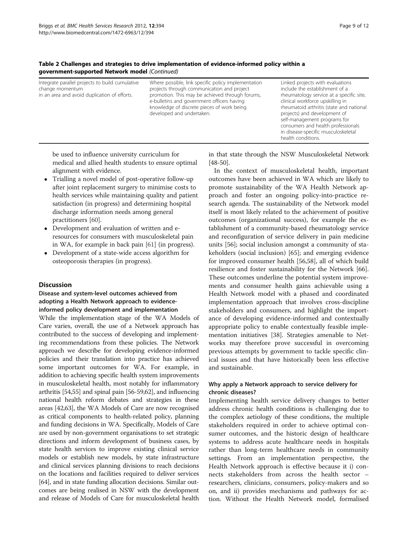| Table 2 Challenges and strategies to drive implementation of evidence-informed policy within a |  |  |
|------------------------------------------------------------------------------------------------|--|--|
| government-supported Network model (Continued)                                                 |  |  |

| Integrate parallel projects to build cumulative<br>change momentum<br>in an area and avoid duplication of efforts. | Where possible, link specific policy implementation<br>projects through communication and project<br>promotion. This may be achieved through forums,<br>e-bulletins and government officers having<br>knowledge of discrete pieces of work being<br>developed and undertaken. | Linked projects with evaluations<br>include the establishment of a<br>rheumatology service at a specific site,<br>clinical workforce upskilling in<br>rheumatoid arthritis (state and national<br>projects) and development of<br>self-management programs for<br>consumers and health professionals<br>in disease-specific musculoskeletal |
|--------------------------------------------------------------------------------------------------------------------|-------------------------------------------------------------------------------------------------------------------------------------------------------------------------------------------------------------------------------------------------------------------------------|---------------------------------------------------------------------------------------------------------------------------------------------------------------------------------------------------------------------------------------------------------------------------------------------------------------------------------------------|
|                                                                                                                    |                                                                                                                                                                                                                                                                               | health conditions                                                                                                                                                                                                                                                                                                                           |

be used to influence university curriculum for medical and allied health students to ensure optimal alignment with evidence.

- Trialling a novel model of post-operative follow-up after joint replacement surgery to minimise costs to health services while maintaining quality and patient satisfaction (in progress) and determining hospital discharge information needs among general practitioners [[60](#page-11-0)].
- Development and evaluation of written and eresources for consumers with musculoskeletal pain in WA, for example in back pain [\[61](#page-11-0)] (in progress).
- Development of a state-wide access algorithm for osteoporosis therapies (in progress).

## Discussion

## Disease and system-level outcomes achieved from adopting a Health Network approach to evidenceinformed policy development and implementation

While the implementation stage of the WA Models of Care varies, overall, the use of a Network approach has contributed to the success of developing and implementing recommendations from these policies. The Network approach we describe for developing evidence-informed policies and their translation into practice has achieved some important outcomes for WA. For example, in addition to achieving specific health system improvements in musculoskeletal health, most notably for inflammatory arthritis [[54,55](#page-11-0)] and spinal pain [[56](#page-11-0)-[59,62\]](#page-11-0), and influencing national health reform debates and strategies in these areas [\[42,63](#page-11-0)], the WA Models of Care are now recognised as critical components to health-related policy, planning and funding decisions in WA. Specifically, Models of Care are used by non-government organisations to set strategic directions and inform development of business cases, by state health services to improve existing clinical service models or establish new models, by state infrastructure and clinical services planning divisions to reach decisions on the locations and facilities required to deliver services [[64](#page-11-0)], and in state funding allocation decisions. Similar outcomes are being realised in NSW with the development and release of Models of Care for musculoskeletal health

in that state through the NSW Musculoskeletal Network [[48](#page-11-0)-[50\]](#page-11-0).

In the context of musculoskeletal health, important outcomes have been achieved in WA which are likely to promote sustainability of the WA Health Network approach and foster an ongoing policy-into-practice research agenda. The sustainability of the Network model itself is most likely related to the achievement of positive outcomes (organizational success), for example the establishment of a community-based rheumatology service and reconfiguration of service delivery in pain medicine units [[56](#page-11-0)]; social inclusion amongst a community of stakeholders (social inclusion) [\[65](#page-11-0)]; and emerging evidence for improved consumer health [\[56,58](#page-11-0)], all of which build resilience and foster sustainability for the Network [\[66](#page-11-0)]. These outcomes underline the potential system improvements and consumer health gains achievable using a Health Network model with a phased and coordinated implementation approach that involves cross-discipline stakeholders and consumers, and highlight the importance of developing evidence-informed and contextually appropriate policy to enable contextually feasible implementation initiatives [[38\]](#page-10-0). Strategies amenable to Networks may therefore prove successful in overcoming previous attempts by government to tackle specific clinical issues and that have historically been less effective and sustainable.

## Why apply a Network approach to service delivery for chronic diseases?

Implementing health service delivery changes to better address chronic health conditions is challenging due to the complex aetiology of these conditions, the multiple stakeholders required in order to achieve optimal consumer outcomes, and the historic design of healthcare systems to address acute healthcare needs in hospitals rather than long-term healthcare needs in community settings. From an implementation perspective, the Health Network approach is effective because it i) connects stakeholders from across the health sector – researchers, clinicians, consumers, policy-makers and so on, and ii) provides mechanisms and pathways for action. Without the Health Network model, formalised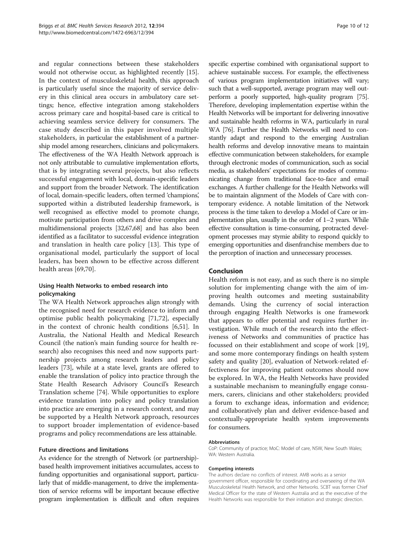and regular connections between these stakeholders would not otherwise occur, as highlighted recently [\[15](#page-10-0)]. In the context of musculoskeletal health, this approach is particularly useful since the majority of service delivery in this clinical area occurs in ambulatory care settings; hence, effective integration among stakeholders across primary care and hospital-based care is critical to achieving seamless service delivery for consumers. The case study described in this paper involved multiple stakeholders, in particular the establishment of a partnership model among researchers, clinicians and policymakers. The effectiveness of the WA Health Network approach is not only attributable to cumulative implementation efforts, that is by integrating several projects, but also reflects successful engagement with local, domain-specific leaders and support from the broader Network. The identification of local, domain-specific leaders, often termed 'champions', supported within a distributed leadership framework, is well recognised as effective model to promote change, motivate participation from others and drive complex and multidimensional projects [[32](#page-10-0)[,67,68\]](#page-11-0) and has also been identified as a facilitator to successful evidence integration and translation in health care policy [\[13](#page-10-0)]. This type of organisational model, particularly the support of local leaders, has been shown to be effective across different health areas [\[69,70](#page-11-0)].

#### Using Health Networks to embed research into policymaking

The WA Health Network approaches align strongly with the recognised need for research evidence to inform and optimise public health policymaking [[71](#page-11-0),[72](#page-11-0)], especially in the context of chronic health conditions [\[6](#page-10-0),[51](#page-11-0)]. In Australia, the National Health and Medical Research Council (the nation's main funding source for health research) also recognises this need and now supports partnership projects among research leaders and policy leaders [\[73](#page-11-0)], while at a state level, grants are offered to enable the translation of policy into practice through the State Health Research Advisory Council's Research Translation scheme [\[74\]](#page-11-0). While opportunities to explore evidence translation into policy and policy translation into practice are emerging in a research context, and may be supported by a Health Network approach, resources to support broader implementation of evidence-based programs and policy recommendations are less attainable.

#### Future directions and limitations

As evidence for the strength of Network (or partnership) based health improvement initiatives accumulates, access to funding opportunities and organisational support, particularly that of middle-management, to drive the implementation of service reforms will be important because effective program implementation is difficult and often requires specific expertise combined with organisational support to achieve sustainable success. For example, the effectiveness of various program implementation initiatives will vary; such that a well-supported, average program may well outperform a poorly supported, high-quality program [\[75](#page-11-0)]. Therefore, developing implementation expertise within the Health Networks will be important for delivering innovative and sustainable health reforms in WA, particularly in rural WA [\[76\]](#page-11-0). Further the Health Networks will need to constantly adapt and respond to the emerging Australian health reforms and develop innovative means to maintain effective communication between stakeholders, for example through electronic modes of communication, such as social media, as stakeholders' expectations for modes of communicating change from traditional face-to-face and email exchanges. A further challenge for the Health Networks will be to maintain alignment of the Models of Care with contemporary evidence. A notable limitation of the Network process is the time taken to develop a Model of Care or implementation plan, usually in the order of 1–2 years. While effective consultation is time-consuming, protracted development processes may stymie ability to respond quickly to emerging opportunities and disenfranchise members due to the perception of inaction and unnecessary processes.

#### Conclusion

Health reform is not easy, and as such there is no simple solution for implementing change with the aim of improving health outcomes and meeting sustainability demands. Using the currency of social interaction through engaging Health Networks is one framework that appears to offer potential and requires further investigation. While much of the research into the effectiveness of Networks and communities of practice has focussed on their establishment and scope of work [\[19](#page-10-0)], and some more contemporary findings on health system safety and quality [\[20\]](#page-10-0), evaluation of Network-related effectiveness for improving patient outcomes should now be explored. In WA, the Health Networks have provided a sustainable mechanism to meaningfully engage consumers, carers, clinicians and other stakeholders; provided a forum to exchange ideas, information and evidence; and collaboratively plan and deliver evidence-based and contextually-appropriate health system improvements for consumers.

#### Abbreviations

CoP: Community of practice; MoC: Model of care, NSW, New South Wales; WA: Western Australia.

#### Competing interests

The authors declare no conflicts of interest. AMB works as a senior government officer, responsible for coordinating and overseeing of the WA Musculoskeletal Health Network, and other Networks. SCBT was former Chief Medical Officer for the state of Western Australia and as the executive of the Health Networks was responsible for their initiation and strategic direction.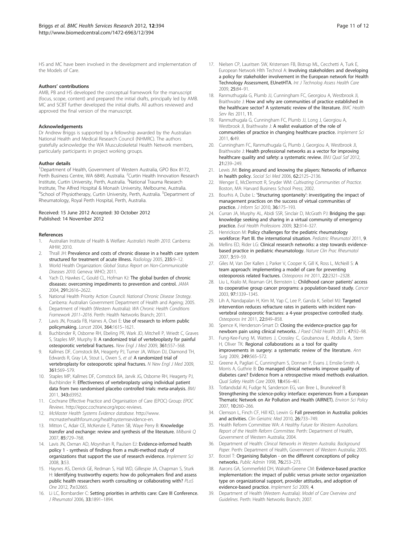<span id="page-10-0"></span>HS and MC have been involved in the development and implementation of the Models of Care.

#### Authors' contributions

AMB, PB and HS developed the conceptual framework for the manuscript (focus, scope, content) and prepared the initial drafts, principally led by AMB. MC and SCBT further developed the initial drafts. All authors reviewed and approved the final version of the manuscript.

#### Acknowledgements

Dr Andrew Briggs is supported by a fellowship awarded by the Australian National Health and Medical Research Council (NHMRC). The authors gratefully acknowledge the WA Musculoskeletal Health Network members, particularly participants in project working groups.

#### Author details

<sup>1</sup>Department of Health, Government of Western Australia, GPO Box 8172, Perth Business Centre, WA 6849, Australia. <sup>2</sup>Curtin Health Innovation Research Institute, Curtin University, Perth, Australia. <sup>3</sup>National Trauma Research Institute, The Alfred Hospital & Monash University, Melbourne, Australia. <sup>4</sup>School of Physiotherapy, Curtin University, Perth, Australia. <sup>5</sup>Department of Rheumatology, Royal Perth Hospital, Perth, Australia.

#### Received: 15 June 2012 Accepted: 30 October 2012 Published: 14 November 2012

#### References

- 1. Australian Institute of Health & Welfare: Australia's Health 2010. Canberra: AIHW; 2010.
- 2. Thrall JH: Prevalence and costs of chronic disease in a health care system structured for treatment of acute illness. Radiology 2005, 235:9–12.
- 3. World Health Organization: Global Status Report on Non-Communicable Diseases 2010. Geneva: WHO; 2011.
- 4. Yach D, Hawkes C, Gould CL, Hofman KJ: The global burden of chronic diseases: overcoming impediments to prevention and control. JAMA 2004, 291:2616–2622.
- 5. National Health Priority Action Council: National Chronic Disease Strategy. Canberra: Australian Government Department of Health and Ageing; 2005.
- 6. Department of Health (Western Australia): WA Chronic Health Conditions Framework 2011–2016. Perth: Health Networks Branch; 2011.
- 7. Lavis JN, Posada FB, Haines A, Osei E: Use of research to inform public policymaking. Lancet 2004, 364:1615–1621.
- 8. Buchbinder R, Osborne RH, Ebeling PR, Wark JD, Mitchell P, Wriedt C, Graves S, Staples MP, Murphy B: A randomized trial of vertebroplasty for painful osteoporotic vertebral fractures. New Engl J Med 2009, 361:557–568.
- Kallmes DF, Comstock BA, Heagerty PJ, Turner JA, Wilson DJ, Diamond TH, Edwards R, Gray LA, Stout L, Owen S, et al: A randomized trial of vertebroplasty for osteoporotic spinal fractures. N New Engl J Med 2009, 361:569–579.
- 10. Staples MP, Kallmes DF, Comstock BA, Jarvik JG, Osborne RH, Heagerty PJ, Buchbinder R: Effectiveness of vertebroplasty using individual patient data from two randomised placebo controlled trials: meta-analysis. BMJ 2011, 343:d3952.
- 11. Cochrane Effective Practice and Organisation of Care (EPOC) Group: EPOC Reviews. [http://epoc.cochrane.org/epoc-reviews.](http://epoc.cochrane.org/epoc-reviews)
- 12. McMaster Health Systems Evidence database. [http://www.](http://www.mcmasterhealthforum.org/healthsystemsevidence-en) [mcmasterhealthforum.org/healthsystemsevidence-en](http://www.mcmasterhealthforum.org/healthsystemsevidence-en).
- 13. Mitton C, Adair CE, McKenzie E, Patten SB, Waye Perry B: Knowledge transfer and exchange: review and synthesis of the literature. Milbank Q 2007, 85:729–768.
- 14. Lavis JN, Oxman AD, Moynihan R, Paulsen EJ: Evidence-informed health policy 1 - synthesis of findings from a multi-method study of organizations that support the use of research evidence. Implement Sci 2008, 3:53.
- 15. Haynes AS, Derrick GE, Redman S, Hall WD, Gillespie JA, Chapman S, Sturk H: Identifying trustworthy experts: how do policymakers find and assess public health researchers worth consulting or collaborating with? PLoS One 2012, 7:e32665.
- 16. Li LC, Bombardier C: Setting priorities in arthritis care: Care III Conference. J Rheumatol 2006, 33:1891–1894.
- 17. Nielsen CP, Lauritsen SW, Kristensen FB, Bistrup ML, Cecchetti A, Turk E, European Network Hlth Technol A: Involving stakeholders and developing a policy for stakeholder involvement in the European network for Health Technology Assessment, EUnetHTA. Int J Technolog Assess Health Care 2009, 25:84–91.
- 18. Ranmuthugala G, Plumb JJ, Cunningham FC, Georgiou A, Westbrook JI, Braithwaite J: How and why are communities of practice established in the healthcare sector? A systematic review of the literature. BMC Health Serv Res 2011, 11.
- 19. Ranmuthugala G, Cunningham FC, Plumb JJ, Long J, Georgiou A, Westbrook JI, Braithwaite J: A realist evaluation of the role of communities of practice in changing healthcare practice. Implement Sci 2011, 6:49.
- 20. Cunningham FC, Ranmuthugala G, Plumb J, Georgiou A, Westbrook JI, Braithwaite J: Health professional networks as a vector for improving healthcare quality and safety: a systematic review. BMJ Qual Saf 2012, 21:239–249.
- 21. Lewis JM: Being around and knowing the players: Networks of influence in health policy. Social Sci Med 2006, 62:2125–2136.
- 22. Wenger E, McDermott R, Snyder WM: Cultivating Communities of Practice. Boston, MA: Harvard Business School Press; 2002.
- 23. Bourhis A, Dube L: 'Structuring spontaneity': investigating the impact of management practices on the success of virtual communities of practice. J Inform Sci 2010, 36:175–193.
- 24. Curran JA, Murphy AL, Abidi SSR, Sinclair D, McGrath PJ: Bridging the gap: knowledge seeking and sharing in a virtual community of emergency practice. Eval Health Professions 2009, 32:314–327.
- 25. Henrickson M: Policy challenges for the pediatric rheumatology workforce: Part III. the international situation. Pediatric Rheumatol 2011, 9.
- 26. Mellins ED, Rider LG: Clinical research networks: a step towards evidencebased practice in pediatric rheumatology. Nature Clin Prac Rheumatol 2007, 3:59–59.
- 27. Giles M, Van Der Kallen J, Parker V, Cooper K, Gill K, Ross L, McNeill S: A team approach: implementing a model of care for preventing osteoporosis related fractures. Osteoporos Int 2011, 22:2321–2328.
- 28. Liu L, Krailo M, Reaman GH, Bernstein L: Childhood cancer patients' access to cooperative group cancer programs: a population-based study. Cancer 2003, 97:1339–1345.
- 29. Lih A, Nandapalan H, Kim M, Yap C, Lee P, Ganda K, Seibel MJ: Targeted intervention reduces refracture rates in patients with incident nonvertebral osteoporotic fractures: a 4-year prospective controlled study. Osteoporos Int 2011, 22:849–858.
- 30. Spence K, Henderson-Smart D: Closing the evidence-practice gap for newborn pain using clinical networks. J Paed Child Health 2011, 47:92–98.
- 31. Fung-Kee-Fung M, Watters J, Crossley C, Goubanova E, Abdulla A, Stern H, Oliver TK: Regional collaborations as a tool for quality improvements in surgery: a systematic review of the literature. Ann Surg 2009, 249:565–572.
- 32. Greene A, Pagliari C, Cunningham S, Donnan P, Evans J, Emslie-Smith A, Morris A, Guthrie B: Do managed clinical networks improve quality of diabetes care? Evidence from a retrospective mixed methods evaluation. Qual Safety Health Care 2009, 18:456–461.
- 33. Totlandsdal AI, Fudge N, Sanderson EG, van Bree L, Brunekreef B: Strengthening the science-policy interface: experiences from a European Thematic Network on Air Pollution and Health (AIRNET). Environ Sci Policy 2007, 10:260–266.
- 34. Clemson L, Finch CF, Hill KD, Lewin G: Fall prevention in Australia: policies and activities. Clin Geriatric Med 2010, 26:733–749.
- 35. Health Reform Committee WA: A Healthy Future for Western Australians. Report of the Health Reform Committee. Perth: Department of Health, Government of Western Australia; 2004.
- 36. Department of Health: Clinical Networks in Western Australia. Background Paper. Perth: Department of Health, Government of Western Australia; 2005.
- 37. Borzel T: Organising Babylon on the different conceptions of policy networks. Public Admin 1998, 76:253–273.
- 38. Aarons GA, Sommerfeld DH, Walrath-Greene CM: Evidence-based practice implementation: the impact of public versus private sector organization type on organizational support, provider attitudes, and adoption of evidence-based practice. Implement Sci 2009, 4.
- 39. Department of Health (Western Australia): Model of Care Overview and Guidelines. Perth: Health Networks Branch; 2007.